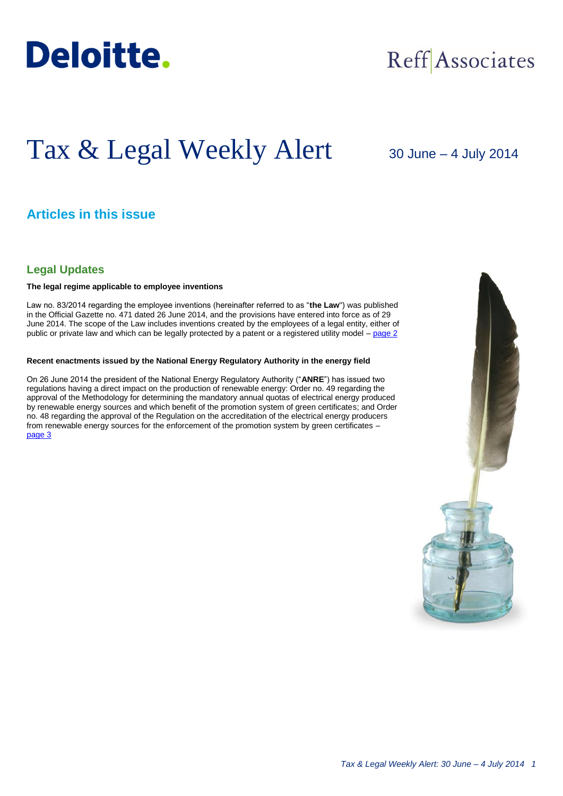

## Reff Associates

# Tax & Legal Weekly Alert

30 June – 4 July 2014

## **Articles in this issue**

### **Legal Updates**

#### **The legal regime applicable to employee inventions**

Law no. 83/2014 regarding the employee inventions (hereinafter referred to as "**the Law**") was published in the Official Gazette no. 471 dated 26 June 2014, and the provisions have entered into force as of 29 June 2014. The scope of the Law includes inventions created by the employees of a legal entity, either of public or private law and which can be legally protected by a patent or a registered utility model – [page 2](#page-1-0)

#### **Recent enactments issued by the National Energy Regulatory Authority in the energy field**

On 26 June 2014 the president of the National Energy Regulatory Authority ("**ANRE**") has issued two regulations having a direct impact on the production of renewable energy: Order no. 49 regarding the approval of the Methodology for determining the mandatory annual quotas of electrical energy produced by renewable energy sources and which benefit of the promotion system of green certificates; and Order no. 48 regarding the approval of the Regulation on the accreditation of the electrical energy producers from renewable energy sources for the enforcement of the promotion system by green certificates – [page 3](#page-2-0)

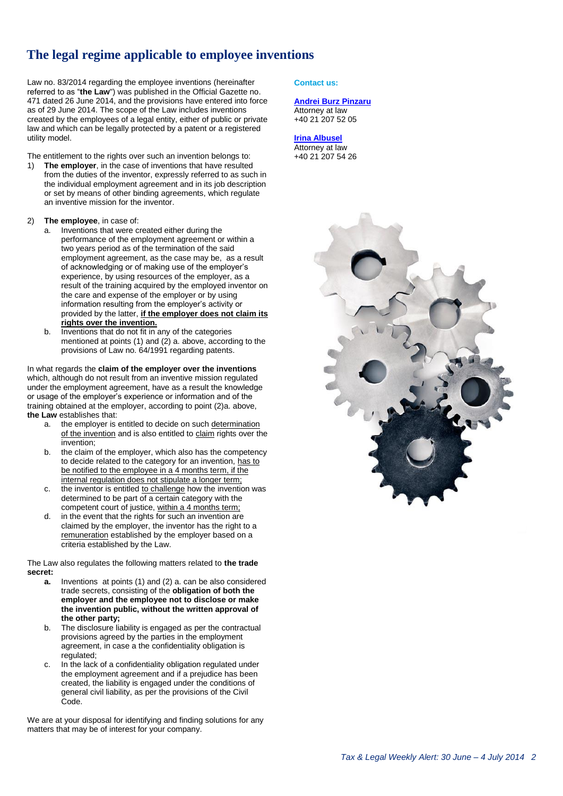## **The legal regime applicable to employee inventions**

Law no. 83/2014 regarding the employee inventions (hereinafter referred to as "**the Law**") was published in the Official Gazette no. 471 dated 26 June 2014, and the provisions have entered into force as of 29 June 2014. The scope of the Law includes inventions created by the employees of a legal entity, either of public or private law and which can be legally protected by a patent or a registered utility model.

The entitlement to the rights over such an invention belongs to:

- 1) **The employer**, in the case of inventions that have resulted from the duties of the inventor, expressly referred to as such in the individual employment agreement and in its job description or set by means of other binding agreements, which regulate an inventive mission for the inventor.
- 2) **The employee**, in case of:
	- Inventions that were created either during the performance of the employment agreement or within a two years period as of the termination of the said employment agreement, as the case may be, as a result of acknowledging or of making use of the employer's experience, by using resources of the employer, as a result of the training acquired by the employed inventor on the care and expense of the employer or by using information resulting from the employer's activity or provided by the latter, **if the employer does not claim its rights over the invention.**
	- Inventions that do not fit in any of the categories mentioned at points (1) and (2) a. above, according to the provisions of Law no. 64/1991 regarding patents.

In what regards the **claim of the employer over the inventions** which, although do not result from an inventive mission regulated under the employment agreement, have as a result the knowledge or usage of the employer's experience or information and of the training obtained at the employer, according to point (2)a. above, **the Law** establishes that:

- a. the employer is entitled to decide on such determination of the invention and is also entitled to claim rights over the invention;
- b. the claim of the employer, which also has the competency to decide related to the category for an invention, has to be notified to the employee in a 4 months term, if the internal regulation does not stipulate a longer term;
- c. the inventor is entitled to challenge how the invention was determined to be part of a certain category with the competent court of justice, within a 4 months term;
- d. in the event that the rights for such an invention are claimed by the employer, the inventor has the right to a remuneration established by the employer based on a criteria established by the Law.

The Law also regulates the following matters related to **the trade secret:** 

- **a.** Inventions at points (1) and (2) a. can be also considered trade secrets, consisting of the **obligation of both the employer and the employee not to disclose or make the invention public, without the written approval of the other party;**
- b. The disclosure liability is engaged as per the contractual provisions agreed by the parties in the employment agreement, in case a the confidentiality obligation is regulated;
- c. In the lack of a confidentiality obligation regulated under the employment agreement and if a prejudice has been created, the liability is engaged under the conditions of general civil liability, as per the provisions of the Civil Code.

We are at your disposal for identifying and finding solutions for any matters that may be of interest for your company.

#### <span id="page-1-0"></span>**Contact us:**

#### **[Andrei Burz Pinzaru](mailto:aburzpinzaru@deloittece.com)**

Attorney at law +40 21 207 52 05

#### **[Irina Albusel](mailto:ialbusel@deloittece.com)**

Attorney at law +40 21 207 54 26

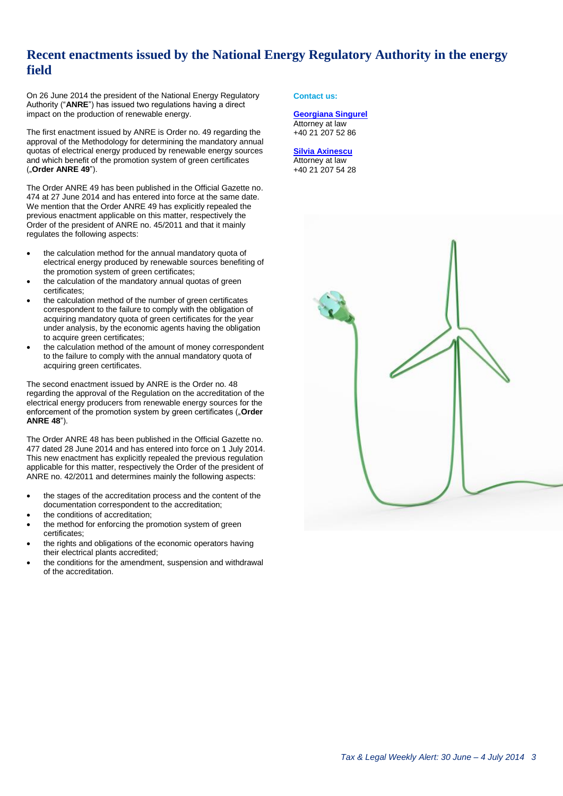## <span id="page-2-0"></span>**Recent enactments issued by the National Energy Regulatory Authority in the energy field**

On 26 June 2014 the president of the National Energy Regulatory Authority ("**ANRE**") has issued two regulations having a direct impact on the production of renewable energy.

The first enactment issued by ANRE is Order no. 49 regarding the approval of the Methodology for determining the mandatory annual quotas of electrical energy produced by renewable energy sources and which benefit of the promotion system of green certificates ("**Order ANRE 49**").

The Order ANRE 49 has been published in the Official Gazette no. 474 at 27 June 2014 and has entered into force at the same date. We mention that the Order ANRE 49 has explicitly repealed the previous enactment applicable on this matter, respectively the Order of the president of ANRE no. 45/2011 and that it mainly regulates the following aspects:

- the calculation method for the annual mandatory quota of electrical energy produced by renewable sources benefiting of the promotion system of green certificates;
- the calculation of the mandatory annual quotas of green certificates;
- the calculation method of the number of green certificates correspondent to the failure to comply with the obligation of acquiring mandatory quota of green certificates for the year under analysis, by the economic agents having the obligation to acquire green certificates;
- the calculation method of the amount of money correspondent to the failure to comply with the annual mandatory quota of acquiring green certificates.

The second enactment issued by ANRE is the Order no. 48 regarding the approval of the Regulation on the accreditation of the electrical energy producers from renewable energy sources for the enforcement of the promotion system by green certificates ("Order **ANRE 48**").

The Order ANRE 48 has been published in the Official Gazette no. 477 dated 28 June 2014 and has entered into force on 1 July 2014. This new enactment has explicitly repealed the previous regulation applicable for this matter, respectively the Order of the president of ANRE no. 42/2011 and determines mainly the following aspects:

- the stages of the accreditation process and the content of the documentation correspondent to the accreditation;
- the conditions of accreditation;
- the method for enforcing the promotion system of green certificates;
- the rights and obligations of the economic operators having their electrical plants accredited;
- the conditions for the amendment, suspension and withdrawal of the accreditation.

#### **Contact us:**

#### **[Georgiana Singurel](mailto:gsingurel@deloittece.com)** Attorney at law +40 21 207 52 86

#### **[Silvia Axinescu](mailto:maxinescu@deloittece.com)** Attorney at law +40 21 207 54 28